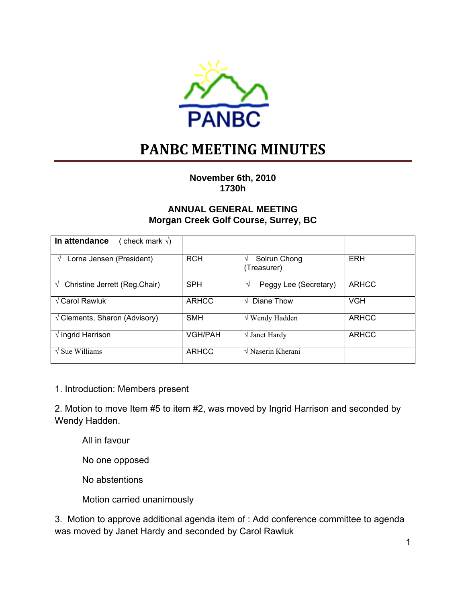

# **PANBC MEETING MINUTES**

**November 6th, 2010 1730h** 

### **ANNUAL GENERAL MEETING Morgan Creek Golf Course, Surrey, BC**

| In attendance<br>(check mark $\sqrt{ }$ )  |                |                                       |              |
|--------------------------------------------|----------------|---------------------------------------|--------------|
| Lorna Jensen (President)                   | <b>RCH</b>     | Solrun Chong<br>V<br>(Treasurer)      | <b>ERH</b>   |
| Christine Jerrett (Reg.Chair)<br>$\sqrt{}$ | <b>SPH</b>     | Peggy Lee (Secretary)<br>$\mathcal N$ | <b>ARHCC</b> |
| $\sqrt{}$ Carol Rawluk                     | <b>ARHCC</b>   | Diane Thow<br>$\sqrt{ }$              | <b>VGH</b>   |
| $\sqrt{C}$ Clements, Sharon (Advisory)     | <b>SMH</b>     | $\sqrt{W}$ Wendy Hadden               | <b>ARHCC</b> |
| $\sqrt{}$ Ingrid Harrison                  | <b>VGH/PAH</b> | $\sqrt{}$ Janet Hardy                 | <b>ARHCC</b> |
| $\sqrt{\text{Sue}}$ Williams               | <b>ARHCC</b>   | $\sqrt{N}$ Naserin Kherani            |              |

1. Introduction: Members present

2. Motion to move Item #5 to item #2, was moved by Ingrid Harrison and seconded by Wendy Hadden.

All in favour

No one opposed

No abstentions

Motion carried unanimously

3. Motion to approve additional agenda item of : Add conference committee to agenda was moved by Janet Hardy and seconded by Carol Rawluk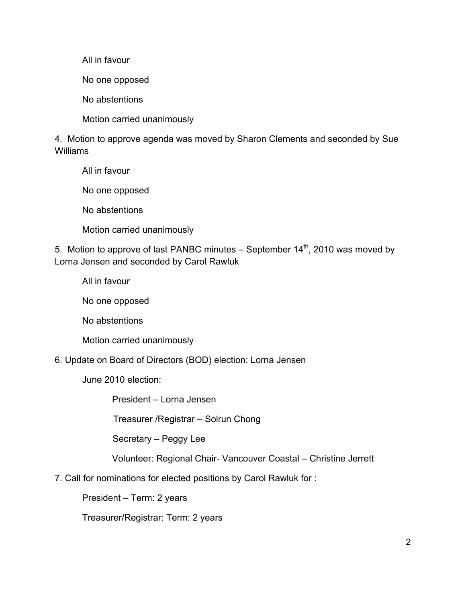All in favour

No one opposed

No abstentions

Motion carried unanimously

4. Motion to approve agenda was moved by Sharon Clements and seconded by Sue Williams

 All in favour No one opposed No abstentions Motion carried unanimously

5. Motion to approve of last PANBC minutes – September  $14<sup>th</sup>$ , 2010 was moved by Lorna Jensen and seconded by Carol Rawluk

All in favour

No one opposed

No abstentions

Motion carried unanimously

6. Update on Board of Directors (BOD) election: Lorna Jensen

June 2010 election:

President – Lorna Jensen

Treasurer /Registrar – Solrun Chong

Secretary – Peggy Lee

Volunteer: Regional Chair- Vancouver Coastal – Christine Jerrett

7. Call for nominations for elected positions by Carol Rawluk for :

President – Term: 2 years

Treasurer/Registrar: Term: 2 years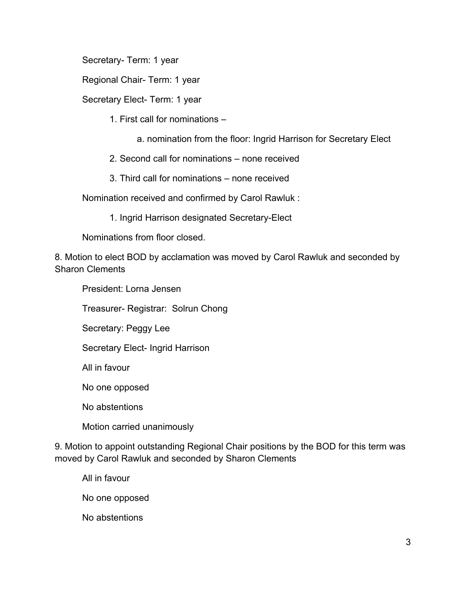Secretary- Term: 1 year

Regional Chair- Term: 1 year

Secretary Elect- Term: 1 year

1. First call for nominations –

- a. nomination from the floor: Ingrid Harrison for Secretary Elect
- 2. Second call for nominations none received
- 3. Third call for nominations none received

Nomination received and confirmed by Carol Rawluk :

1. Ingrid Harrison designated Secretary-Elect

Nominations from floor closed.

8. Motion to elect BOD by acclamation was moved by Carol Rawluk and seconded by Sharon Clements

President: Lorna Jensen

Treasurer- Registrar: Solrun Chong

Secretary: Peggy Lee

Secretary Elect- Ingrid Harrison

All in favour

No one opposed

No abstentions

Motion carried unanimously

9. Motion to appoint outstanding Regional Chair positions by the BOD for this term was moved by Carol Rawluk and seconded by Sharon Clements

All in favour

No one opposed

No abstentions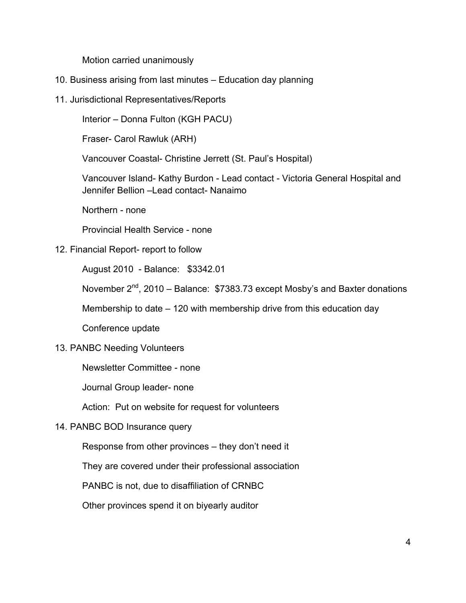Motion carried unanimously

- 10. Business arising from last minutes Education day planning
- 11. Jurisdictional Representatives/Reports

Interior – Donna Fulton (KGH PACU)

Fraser- Carol Rawluk (ARH)

Vancouver Coastal- Christine Jerrett (St. Paul's Hospital)

 Vancouver Island- Kathy Burdon - Lead contact - Victoria General Hospital and Jennifer Bellion –Lead contact- Nanaimo

Northern - none

Provincial Health Service - none

#### 12. Financial Report- report to follow

August 2010 - Balance: \$3342.01

November  $2^{nd}$ , 2010 – Balance: \$7383.73 except Mosby's and Baxter donations

Membership to date – 120 with membership drive from this education day

Conference update

#### 13. PANBC Needing Volunteers

Newsletter Committee - none

Journal Group leader- none

Action: Put on website for request for volunteers

#### 14. PANBC BOD Insurance query

Response from other provinces – they don't need it

They are covered under their professional association

PANBC is not, due to disaffiliation of CRNBC

Other provinces spend it on biyearly auditor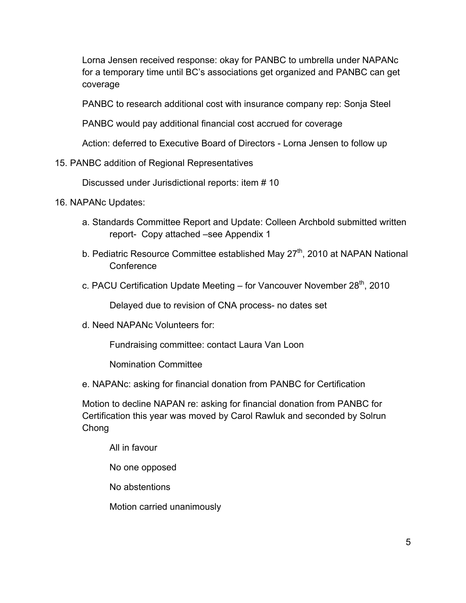Lorna Jensen received response: okay for PANBC to umbrella under NAPANc for a temporary time until BC's associations get organized and PANBC can get coverage

PANBC to research additional cost with insurance company rep: Sonja Steel

PANBC would pay additional financial cost accrued for coverage

Action: deferred to Executive Board of Directors - Lorna Jensen to follow up

## 15. PANBC addition of Regional Representatives

Discussed under Jurisdictional reports: item # 10

- 16. NAPANc Updates:
	- a. Standards Committee Report and Update: Colleen Archbold submitted written report- Copy attached –see Appendix 1
	- b. Pediatric Resource Committee established May  $27<sup>th</sup>$ , 2010 at NAPAN National Conference
	- c. PACU Certification Update Meeting for Vancouver November  $28<sup>th</sup>$ , 2010

Delayed due to revision of CNA process- no dates set

d. Need NAPANc Volunteers for:

Fundraising committee: contact Laura Van Loon

Nomination Committee

e. NAPANc: asking for financial donation from PANBC for Certification

 Motion to decline NAPAN re: asking for financial donation from PANBC for Certification this year was moved by Carol Rawluk and seconded by Solrun Chong

All in favour

No one opposed

No abstentions

Motion carried unanimously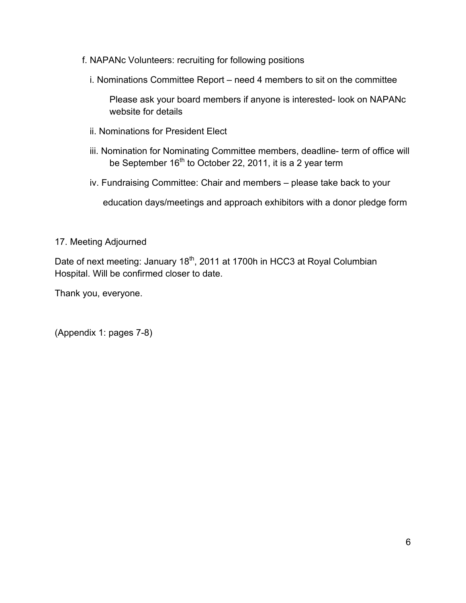- f. NAPANc Volunteers: recruiting for following positions
	- i. Nominations Committee Report need 4 members to sit on the committee

 Please ask your board members if anyone is interested- look on NAPANc website for details

- ii. Nominations for President Elect
- iii. Nomination for Nominating Committee members, deadline- term of office will be September 16<sup>th</sup> to October 22, 2011, it is a 2 year term
- iv. Fundraising Committee: Chair and members please take back to your

education days/meetings and approach exhibitors with a donor pledge form

## 17. Meeting Adjourned

Date of next meeting: January 18<sup>th</sup>, 2011 at 1700h in HCC3 at Royal Columbian Hospital. Will be confirmed closer to date.

Thank you, everyone.

(Appendix 1: pages 7-8)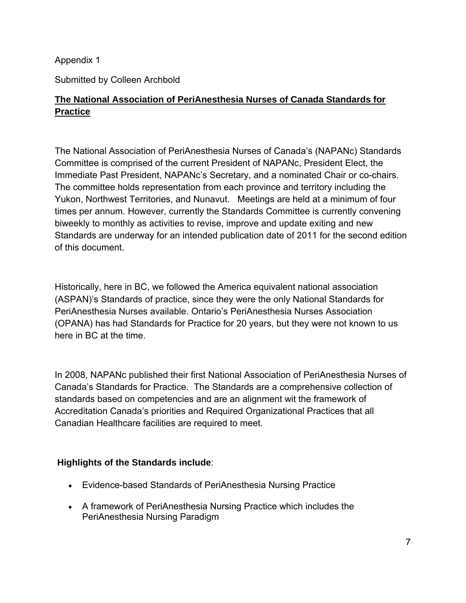Appendix 1

Submitted by Colleen Archbold

# **The National Association of PeriAnesthesia Nurses of Canada Standards for Practice**

The National Association of PeriAnesthesia Nurses of Canada's (NAPANc) Standards Committee is comprised of the current President of NAPANc, President Elect, the Immediate Past President, NAPANc's Secretary, and a nominated Chair or co-chairs. The committee holds representation from each province and territory including the Yukon, Northwest Territories, and Nunavut. Meetings are held at a minimum of four times per annum. However, currently the Standards Committee is currently convening biweekly to monthly as activities to revise, improve and update exiting and new Standards are underway for an intended publication date of 2011 for the second edition of this document.

Historically, here in BC, we followed the America equivalent national association (ASPAN)'s Standards of practice, since they were the only National Standards for PeriAnesthesia Nurses available. Ontario's PeriAnesthesia Nurses Association (OPANA) has had Standards for Practice for 20 years, but they were not known to us here in BC at the time.

In 2008, NAPANc published their first National Association of PeriAnesthesia Nurses of Canada's Standards for Practice. The Standards are a comprehensive collection of standards based on competencies and are an alignment wit the framework of Accreditation Canada's priorities and Required Organizational Practices that all Canadian Healthcare facilities are required to meet.

# **Highlights of the Standards include**:

- Evidence-based Standards of PeriAnesthesia Nursing Practice
- A framework of PeriAnesthesia Nursing Practice which includes the PeriAnesthesia Nursing Paradigm